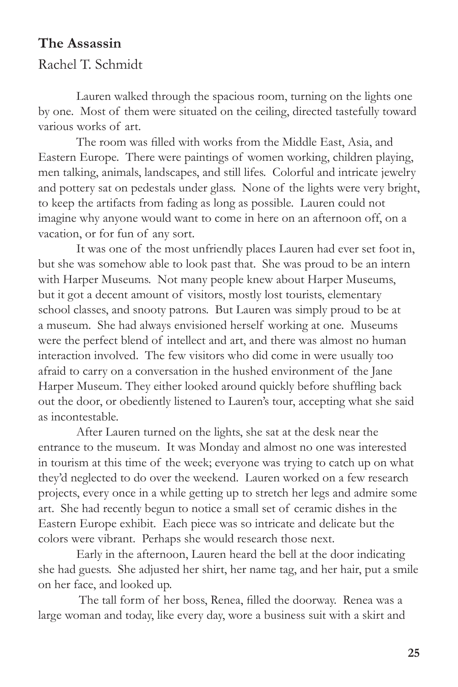## **The Assassin**

Rachel T. Schmidt

Lauren walked through the spacious room, turning on the lights one by one. Most of them were situated on the ceiling, directed tastefully toward various works of art.

The room was filled with works from the Middle East, Asia, and Eastern Europe. There were paintings of women working, children playing, men talking, animals, landscapes, and still lifes. Colorful and intricate jewelry and pottery sat on pedestals under glass. None of the lights were very bright, to keep the artifacts from fading as long as possible. Lauren could not imagine why anyone would want to come in here on an afternoon off, on a vacation, or for fun of any sort.

It was one of the most unfriendly places Lauren had ever set foot in, but she was somehow able to look past that. She was proud to be an intern with Harper Museums. Not many people knew about Harper Museums, but it got a decent amount of visitors, mostly lost tourists, elementary school classes, and snooty patrons. But Lauren was simply proud to be at a museum. She had always envisioned herself working at one. Museums were the perfect blend of intellect and art, and there was almost no human interaction involved. The few visitors who did come in were usually too afraid to carry on a conversation in the hushed environment of the Jane Harper Museum. They either looked around quickly before shuffling back out the door, or obediently listened to Lauren's tour, accepting what she said as incontestable.

After Lauren turned on the lights, she sat at the desk near the entrance to the museum. It was Monday and almost no one was interested in tourism at this time of the week; everyone was trying to catch up on what they'd neglected to do over the weekend. Lauren worked on a few research projects, every once in a while getting up to stretch her legs and admire some art. She had recently begun to notice a small set of ceramic dishes in the Eastern Europe exhibit. Each piece was so intricate and delicate but the colors were vibrant. Perhaps she would research those next.

Early in the afternoon, Lauren heard the bell at the door indicating she had guests. She adjusted her shirt, her name tag, and her hair, put a smile on her face, and looked up.

 The tall form of her boss, Renea, filled the doorway. Renea was a large woman and today, like every day, wore a business suit with a skirt and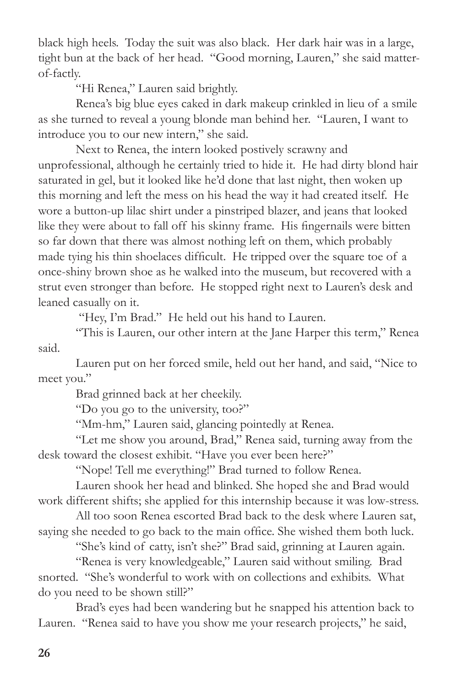black high heels. Today the suit was also black. Her dark hair was in a large, tight bun at the back of her head. "Good morning, Lauren," she said matterof-factly.

"Hi Renea," Lauren said brightly.

Renea's big blue eyes caked in dark makeup crinkled in lieu of a smile as she turned to reveal a young blonde man behind her. "Lauren, I want to introduce you to our new intern," she said.

Next to Renea, the intern looked postively scrawny and unprofessional, although he certainly tried to hide it. He had dirty blond hair saturated in gel, but it looked like he'd done that last night, then woken up this morning and left the mess on his head the way it had created itself. He wore a button-up lilac shirt under a pinstriped blazer, and jeans that looked like they were about to fall off his skinny frame. His fingernails were bitten so far down that there was almost nothing left on them, which probably made tying his thin shoelaces difficult. He tripped over the square toe of a once-shiny brown shoe as he walked into the museum, but recovered with a strut even stronger than before. He stopped right next to Lauren's desk and leaned casually on it.

"Hey, I'm Brad." He held out his hand to Lauren.

"This is Lauren, our other intern at the Jane Harper this term," Renea said.

Lauren put on her forced smile, held out her hand, and said, "Nice to meet you."

Brad grinned back at her cheekily.

"Do you go to the university, too?"

"Mm-hm," Lauren said, glancing pointedly at Renea.

"Let me show you around, Brad," Renea said, turning away from the desk toward the closest exhibit. "Have you ever been here?"

"Nope! Tell me everything!" Brad turned to follow Renea.

Lauren shook her head and blinked. She hoped she and Brad would work different shifts; she applied for this internship because it was low-stress.

All too soon Renea escorted Brad back to the desk where Lauren sat, saying she needed to go back to the main office. She wished them both luck.

"She's kind of catty, isn't she?" Brad said, grinning at Lauren again.

"Renea is very knowledgeable," Lauren said without smiling. Brad snorted. "She's wonderful to work with on collections and exhibits. What do you need to be shown still?"

Brad's eyes had been wandering but he snapped his attention back to Lauren. "Renea said to have you show me your research projects," he said,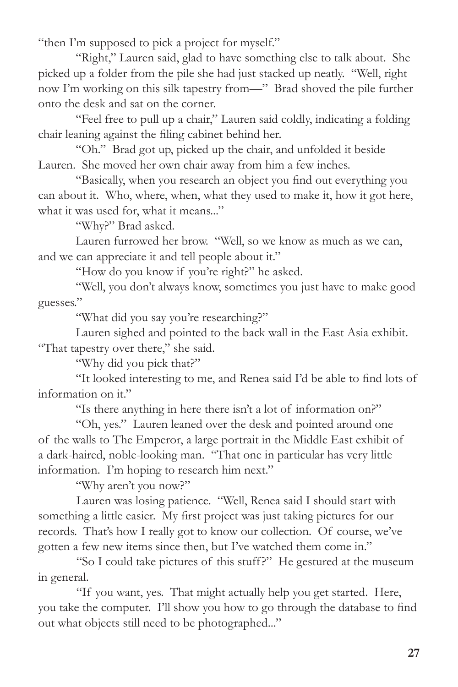"then I'm supposed to pick a project for myself."

"Right," Lauren said, glad to have something else to talk about. She picked up a folder from the pile she had just stacked up neatly. "Well, right now I'm working on this silk tapestry from—" Brad shoved the pile further onto the desk and sat on the corner.

"Feel free to pull up a chair," Lauren said coldly, indicating a folding chair leaning against the filing cabinet behind her.

"Oh." Brad got up, picked up the chair, and unfolded it beside Lauren. She moved her own chair away from him a few inches.

"Basically, when you research an object you find out everything you can about it. Who, where, when, what they used to make it, how it got here, what it was used for, what it means..."

"Why?" Brad asked.

Lauren furrowed her brow. "Well, so we know as much as we can, and we can appreciate it and tell people about it."

"How do you know if you're right?" he asked.

"Well, you don't always know, sometimes you just have to make good guesses."

"What did you say you're researching?"

Lauren sighed and pointed to the back wall in the East Asia exhibit. "That tapestry over there," she said.

"Why did you pick that?"

"It looked interesting to me, and Renea said I'd be able to find lots of information on it."

"Is there anything in here there isn't a lot of information on?"

"Oh, yes." Lauren leaned over the desk and pointed around one of the walls to The Emperor, a large portrait in the Middle East exhibit of a dark-haired, noble-looking man. "That one in particular has very little information. I'm hoping to research him next."

"Why aren't you now?"

Lauren was losing patience. "Well, Renea said I should start with something a little easier. My first project was just taking pictures for our records. That's how I really got to know our collection. Of course, we've gotten a few new items since then, but I've watched them come in."

"So I could take pictures of this stuff?" He gestured at the museum in general.

"If you want, yes. That might actually help you get started. Here, you take the computer. I'll show you how to go through the database to find out what objects still need to be photographed..."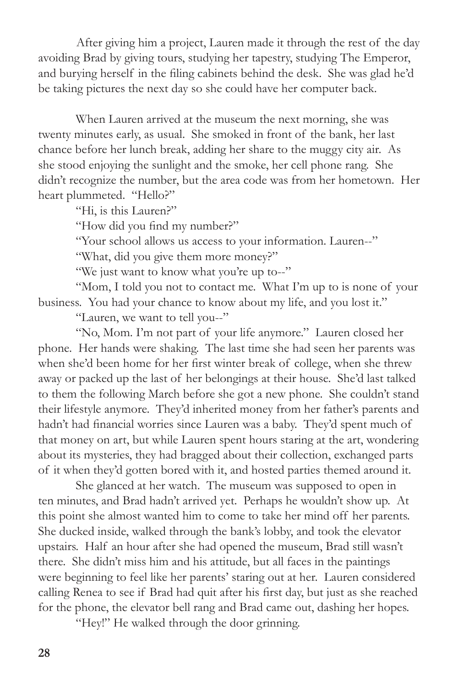After giving him a project, Lauren made it through the rest of the day avoiding Brad by giving tours, studying her tapestry, studying The Emperor, and burying herself in the filing cabinets behind the desk. She was glad he'd be taking pictures the next day so she could have her computer back.

When Lauren arrived at the museum the next morning, she was twenty minutes early, as usual. She smoked in front of the bank, her last chance before her lunch break, adding her share to the muggy city air. As she stood enjoying the sunlight and the smoke, her cell phone rang. She didn't recognize the number, but the area code was from her hometown. Her heart plummeted. "Hello?"

"Hi, is this Lauren?"

"How did you find my number?"

"Your school allows us access to your information. Lauren--"

"What, did you give them more money?"

"We just want to know what you're up to--"

"Mom, I told you not to contact me. What I'm up to is none of your business. You had your chance to know about my life, and you lost it."

"Lauren, we want to tell you--"

"No, Mom. I'm not part of your life anymore." Lauren closed her phone. Her hands were shaking. The last time she had seen her parents was when she'd been home for her first winter break of college, when she threw away or packed up the last of her belongings at their house. She'd last talked to them the following March before she got a new phone. She couldn't stand their lifestyle anymore. They'd inherited money from her father's parents and hadn't had financial worries since Lauren was a baby. They'd spent much of that money on art, but while Lauren spent hours staring at the art, wondering about its mysteries, they had bragged about their collection, exchanged parts of it when they'd gotten bored with it, and hosted parties themed around it.

She glanced at her watch. The museum was supposed to open in ten minutes, and Brad hadn't arrived yet. Perhaps he wouldn't show up. At this point she almost wanted him to come to take her mind off her parents. She ducked inside, walked through the bank's lobby, and took the elevator upstairs. Half an hour after she had opened the museum, Brad still wasn't there. She didn't miss him and his attitude, but all faces in the paintings were beginning to feel like her parents' staring out at her. Lauren considered calling Renea to see if Brad had quit after his first day, but just as she reached for the phone, the elevator bell rang and Brad came out, dashing her hopes.

"Hey!" He walked through the door grinning.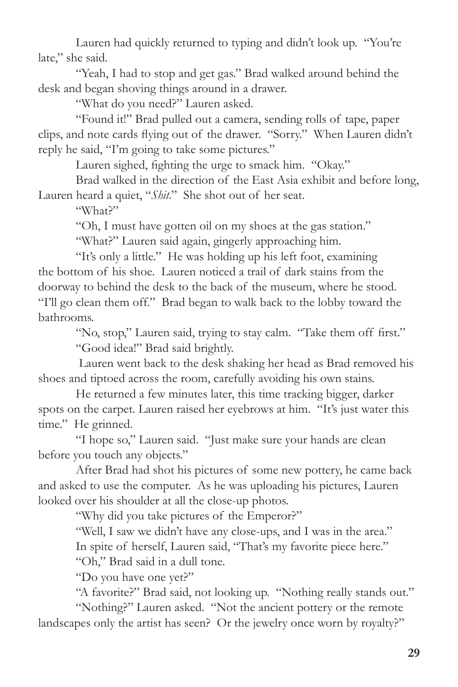Lauren had quickly returned to typing and didn't look up. "You're late," she said.

"Yeah, I had to stop and get gas." Brad walked around behind the desk and began shoving things around in a drawer.

"What do you need?" Lauren asked.

"Found it!" Brad pulled out a camera, sending rolls of tape, paper clips, and note cards flying out of the drawer. "Sorry." When Lauren didn't reply he said, "I'm going to take some pictures."

Lauren sighed, fighting the urge to smack him. "Okay."

Brad walked in the direction of the East Asia exhibit and before long, Lauren heard a quiet, "*Shit*." She shot out of her seat.

"What?"

"Oh, I must have gotten oil on my shoes at the gas station."

"What?" Lauren said again, gingerly approaching him.

"It's only a little." He was holding up his left foot, examining the bottom of his shoe. Lauren noticed a trail of dark stains from the doorway to behind the desk to the back of the museum, where he stood. "I'll go clean them off." Brad began to walk back to the lobby toward the bathrooms.

"No, stop," Lauren said, trying to stay calm. "Take them off first." "Good idea!" Brad said brightly.

 Lauren went back to the desk shaking her head as Brad removed his shoes and tiptoed across the room, carefully avoiding his own stains.

He returned a few minutes later, this time tracking bigger, darker spots on the carpet. Lauren raised her eyebrows at him. "It's just water this time." He grinned.

"I hope so," Lauren said. "Just make sure your hands are clean before you touch any objects."

After Brad had shot his pictures of some new pottery, he came back and asked to use the computer. As he was uploading his pictures, Lauren looked over his shoulder at all the close-up photos.

"Why did you take pictures of the Emperor?"

"Well, I saw we didn't have any close-ups, and I was in the area." In spite of herself, Lauren said, "That's my favorite piece here."

"Oh," Brad said in a dull tone.

"Do you have one yet?"

"A favorite?" Brad said, not looking up. "Nothing really stands out."

"Nothing?" Lauren asked. "Not the ancient pottery or the remote landscapes only the artist has seen? Or the jewelry once worn by royalty?"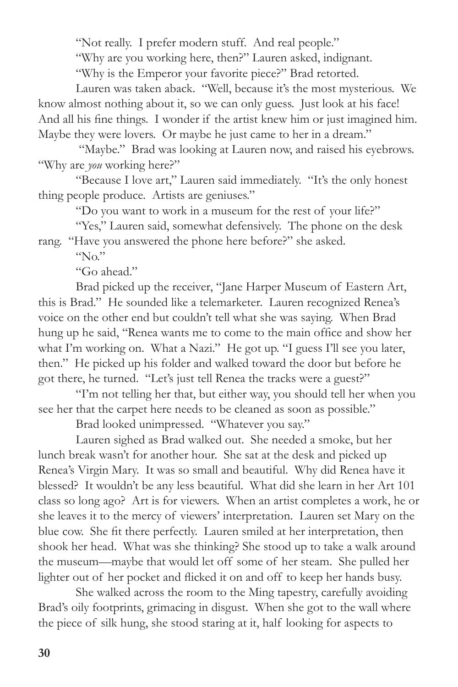"Not really. I prefer modern stuff. And real people."

"Why are you working here, then?" Lauren asked, indignant.

"Why is the Emperor your favorite piece?" Brad retorted.

Lauren was taken aback. "Well, because it's the most mysterious. We know almost nothing about it, so we can only guess. Just look at his face! And all his fine things. I wonder if the artist knew him or just imagined him. Maybe they were lovers. Or maybe he just came to her in a dream."

"Maybe." Brad was looking at Lauren now, and raised his eyebrows. "Why are *you* working here?"

"Because I love art," Lauren said immediately. "It's the only honest thing people produce. Artists are geniuses."

"Do you want to work in a museum for the rest of your life?"

"Yes," Lauren said, somewhat defensively. The phone on the desk rang. "Have you answered the phone here before?" she asked.

 $\gamma_{\rm N0}$ "

"Go ahead."

Brad picked up the receiver, "Jane Harper Museum of Eastern Art, this is Brad." He sounded like a telemarketer. Lauren recognized Renea's voice on the other end but couldn't tell what she was saying. When Brad hung up he said, "Renea wants me to come to the main office and show her what I'm working on. What a Nazi." He got up. "I guess I'll see you later, then." He picked up his folder and walked toward the door but before he got there, he turned. "Let's just tell Renea the tracks were a guest?"

"I'm not telling her that, but either way, you should tell her when you see her that the carpet here needs to be cleaned as soon as possible."

Brad looked unimpressed. "Whatever you say."

Lauren sighed as Brad walked out. She needed a smoke, but her lunch break wasn't for another hour. She sat at the desk and picked up Renea's Virgin Mary. It was so small and beautiful. Why did Renea have it blessed? It wouldn't be any less beautiful. What did she learn in her Art 101 class so long ago? Art is for viewers. When an artist completes a work, he or she leaves it to the mercy of viewers' interpretation. Lauren set Mary on the blue cow. She fit there perfectly. Lauren smiled at her interpretation, then shook her head. What was she thinking? She stood up to take a walk around the museum—maybe that would let off some of her steam. She pulled her lighter out of her pocket and flicked it on and off to keep her hands busy.

She walked across the room to the Ming tapestry, carefully avoiding Brad's oily footprints, grimacing in disgust. When she got to the wall where the piece of silk hung, she stood staring at it, half looking for aspects to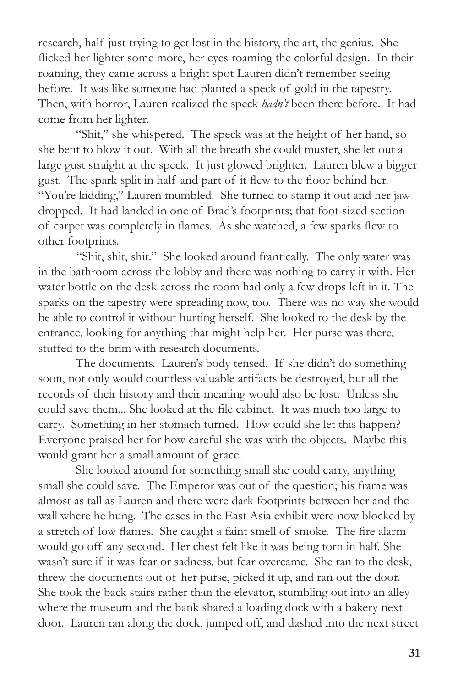research, half just trying to get lost in the history, the art, the genius. She flicked her lighter some more, her eyes roaming the colorful design. In their roaming, they came across a bright spot Lauren didn't remember seeing before. It was like someone had planted a speck of gold in the tapestry. Then, with horror, Lauren realized the speck *hadn't* been there before. It had come from her lighter.

"Shit," she whispered. The speck was at the height of her hand, so she bent to blow it out. With all the breath she could muster, she let out a large gust straight at the speck. It just glowed brighter. Lauren blew a bigger gust. The spark split in half and part of it flew to the floor behind her. "You're kidding," Lauren mumbled. She turned to stamp it out and her jaw dropped. It had landed in one of Brad's footprints; that foot-sized section of carpet was completely in flames. As she watched, a few sparks flew to other footprints.

"Shit, shit, shit." She looked around frantically. The only water was in the bathroom across the lobby and there was nothing to carry it with. Her water bottle on the desk across the room had only a few drops left in it. The sparks on the tapestry were spreading now, too. There was no way she would be able to control it without hurting herself. She looked to the desk by the entrance, looking for anything that might help her. Her purse was there, stuffed to the brim with research documents.

The documents. Lauren's body tensed. If she didn't do something soon, not only would countless valuable artifacts be destroyed, but all the records of their history and their meaning would also be lost. Unless she could save them... She looked at the file cabinet. It was much too large to carry. Something in her stomach turned. How could she let this happen? Everyone praised her for how careful she was with the objects. Maybe this would grant her a small amount of grace.

She looked around for something small she could carry, anything small she could save. The Emperor was out of the question; his frame was almost as tall as Lauren and there were dark footprints between her and the wall where he hung. The cases in the East Asia exhibit were now blocked by a stretch of low flames. She caught a faint smell of smoke. The fire alarm would go off any second. Her chest felt like it was being torn in half. She wasn't sure if it was fear or sadness, but fear overcame. She ran to the desk, threw the documents out of her purse, picked it up, and ran out the door. She took the back stairs rather than the elevator, stumbling out into an alley where the museum and the bank shared a loading dock with a bakery next door. Lauren ran along the dock, jumped off, and dashed into the next street